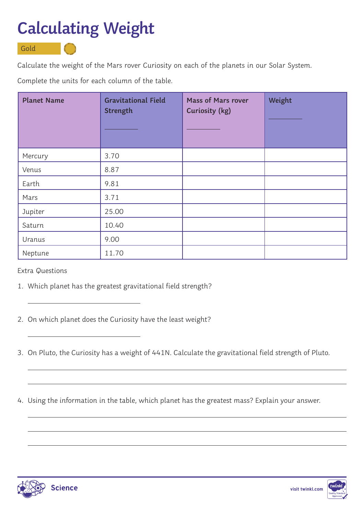## **Calculating Weight**

Gold

Calculate the weight of the Mars rover Curiosity on each of the planets in our Solar System.

Complete the units for each column of the table.

| <b>Planet Name</b> | <b>Gravitational Field</b><br>Strength | <b>Mass of Mars rover</b><br>Curiosity (kg) | Weight |
|--------------------|----------------------------------------|---------------------------------------------|--------|
| Mercury            | 3.70                                   |                                             |        |
| Venus              | 8.87                                   |                                             |        |
| Earth              | 9.81                                   |                                             |        |
| Mars               | 3.71                                   |                                             |        |
| Jupiter            | 25.00                                  |                                             |        |
| Saturn             | 10.40                                  |                                             |        |
| Uranus             | 9.00                                   |                                             |        |
| Neptune            | 11.70                                  |                                             |        |

Extra Questions

 $\overline{a}$ 

 $\overline{a}$ 

- 1. Which planet has the greatest gravitational field strength?
- 2. On which planet does the Curiosity have the least weight?
- 3. On Pluto, the Curiosity has a weight of 441N. Calculate the gravitational field strength of Pluto.
- 4. Using the information in the table, which planet has the greatest mass? Explain your answer.